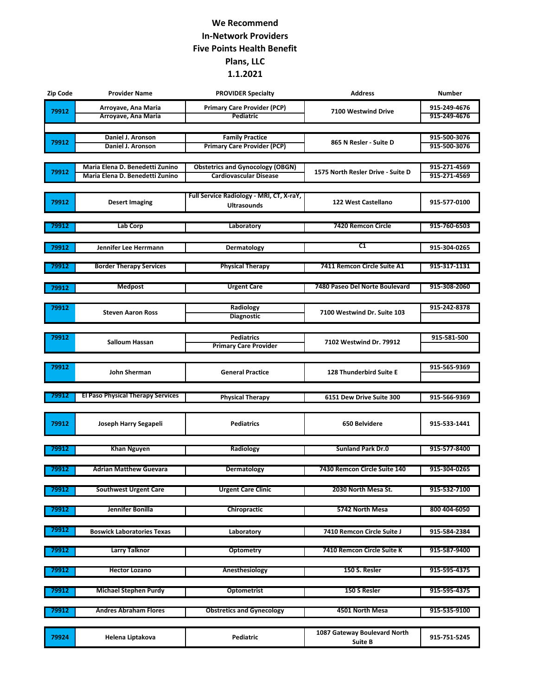## **We Recommend In-Network Providers Five Points Health Benefit Plans, LLC 1.1.2021**

| Zip Code | <b>Provider Name</b>                                               | <b>PROVIDER Specialty</b>                                                | <b>Address</b>                    | <b>Number</b>                |
|----------|--------------------------------------------------------------------|--------------------------------------------------------------------------|-----------------------------------|------------------------------|
| 79912    | Arroyave, Ana Maria                                                | <b>Primary Care Provider (PCP)</b>                                       | 7100 Westwind Drive               | 915-249-4676                 |
|          | Arroyave, Ana Maria                                                | Pediatric                                                                |                                   | 915-249-4676                 |
|          |                                                                    |                                                                          |                                   |                              |
| 79912    | Daniel J. Aronson                                                  | <b>Family Practice</b>                                                   | 865 N Resler - Suite D            | 915-500-3076                 |
|          | Daniel J. Aronson                                                  | <b>Primary Care Provider (PCP)</b>                                       |                                   | 915-500-3076                 |
|          |                                                                    |                                                                          |                                   |                              |
| 79912    | Maria Elena D. Benedetti Zunino<br>Maria Elena D. Benedetti Zunino | <b>Obstetrics and Gynocology (OBGN)</b><br><b>Cardiovascular Disease</b> | 1575 North Resler Drive - Suite D | 915-271-4569<br>915-271-4569 |
|          |                                                                    |                                                                          |                                   |                              |
|          |                                                                    | Full Service Radiology - MRI, CT, X-raY,                                 |                                   |                              |
| 79912    | <b>Desert Imaging</b>                                              | <b>Ultrasounds</b>                                                       | 122 West Castellano               | 915-577-0100                 |
|          |                                                                    |                                                                          |                                   |                              |
| 79912    | Lab Corp                                                           | Laboratory                                                               | <b>7420 Remcon Circle</b>         | 915-760-6503                 |
|          |                                                                    |                                                                          |                                   |                              |
| 79912    | Jennifer Lee Herrmann                                              | Dermatology                                                              | C1                                | 915-304-0265                 |
|          |                                                                    |                                                                          |                                   |                              |
| 79912    | <b>Border Therapy Services</b>                                     | <b>Physical Therapy</b>                                                  | 7411 Remcon Circle Suite A1       | 915-317-1131                 |
|          |                                                                    |                                                                          |                                   |                              |
| 79912    | <b>Medpost</b>                                                     | <b>Urgent Care</b>                                                       | 7480 Paseo Del Norte Boulevard    | 915-308-2060                 |
|          |                                                                    |                                                                          |                                   |                              |
| 79912    |                                                                    | Radiology                                                                |                                   | 915-242-8378                 |
|          | <b>Steven Aaron Ross</b>                                           | <b>Diagnostic</b>                                                        | 7100 Westwind Dr. Suite 103       |                              |
|          |                                                                    |                                                                          |                                   |                              |
| 79912    | Salloum Hassan                                                     | <b>Pediatrics</b>                                                        | 7102 Westwind Dr. 79912           | 915-581-500                  |
|          |                                                                    | <b>Primary Care Provider</b>                                             |                                   |                              |
|          |                                                                    |                                                                          |                                   |                              |
| 79912    | John Sherman                                                       | <b>General Practice</b>                                                  | 128 Thunderbird Suite E           | 915-565-9369                 |
|          |                                                                    |                                                                          |                                   |                              |
| 79912    | <b>El Paso Physical Therapy Services</b>                           |                                                                          |                                   |                              |
|          |                                                                    | <b>Physical Therapy</b>                                                  | 6151 Dew Drive Suite 300          | 915-566-9369                 |
|          |                                                                    |                                                                          |                                   |                              |
| 79912    | Joseph Harry Segapeli                                              | <b>Pediatrics</b>                                                        | 650 Belvidere                     | 915-533-1441                 |
|          |                                                                    |                                                                          |                                   |                              |
| 79912    | <b>Khan Nguyen</b>                                                 | Radiology                                                                | <b>Sunland Park Dr.0</b>          | 915-577-8400                 |
|          |                                                                    |                                                                          |                                   |                              |
| 79912    | <b>Adrian Matthew Guevara</b>                                      | Dermatology                                                              | 7430 Remcon Circle Suite 140      | 915-304-0265                 |
|          |                                                                    |                                                                          |                                   |                              |
| 79912    | <b>Southwest Urgent Care</b>                                       | <b>Urgent Care Clinic</b>                                                | 2030 North Mesa St.               | 915-532-7100                 |
|          |                                                                    |                                                                          |                                   |                              |
| 79912    | Jennifer Bonilla                                                   | <b>Chiropractic</b>                                                      | 5742 North Mesa                   | 800 404-6050                 |
|          |                                                                    |                                                                          |                                   |                              |
| 79912    | <b>Boswick Laboratories Texas</b>                                  | Laboratory                                                               | 7410 Remcon Circle Suite J        | 915-584-2384                 |
|          |                                                                    |                                                                          |                                   |                              |
| 79912    | <b>Larry Talknor</b>                                               | <b>Optometry</b>                                                         | 7410 Remcon Circle Suite K        | 915-587-9400                 |
|          |                                                                    |                                                                          |                                   |                              |
| 79912    | <b>Hector Lozano</b>                                               | Anesthesiology                                                           | 150 S. Resler                     | 915-595-4375                 |
|          |                                                                    |                                                                          |                                   |                              |
| 79912    | <b>Michael Stephen Purdy</b>                                       | <b>Optometrist</b>                                                       | 150 S Resler                      | 915-595-4375                 |
|          |                                                                    |                                                                          |                                   |                              |
| 79912    | <b>Andres Abraham Flores</b>                                       | <b>Obstretics and Gynecology</b>                                         | 4501 North Mesa                   | 915-535-9100                 |
|          |                                                                    |                                                                          |                                   |                              |
| 79924    | Helena Liptakova                                                   | Pediatric                                                                | 1087 Gateway Boulevard North      | 915-751-5245                 |
|          |                                                                    |                                                                          | <b>Suite B</b>                    |                              |